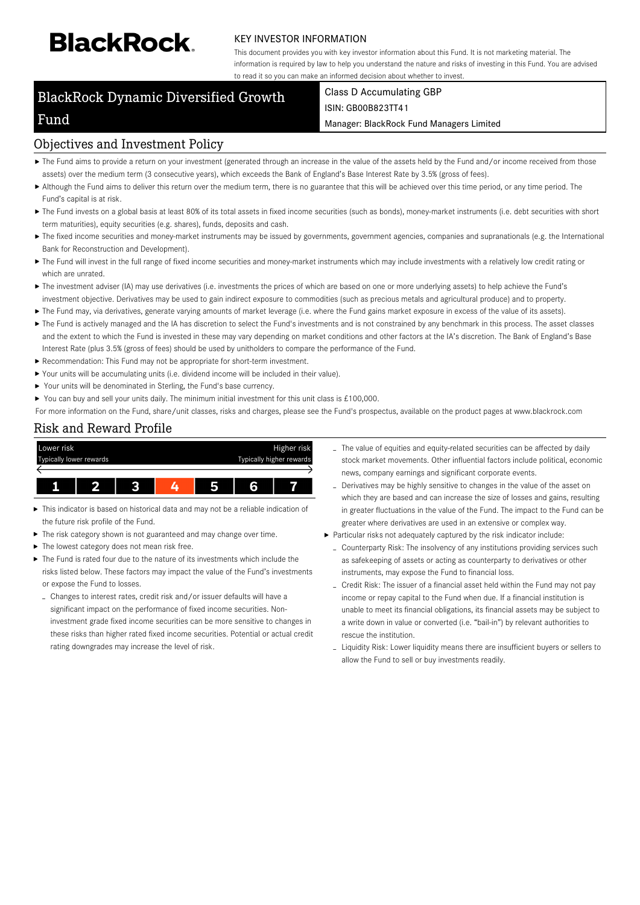# **BlackRock**

Fund

#### KEY INVESTOR INFORMATION

This document provides you with key investor information about this Fund. It is not marketing material. The information is required by law to help you understand the nature and risks of investing in this Fund. You are advised to read it so you can make an informed decision about whether to invest.

# BlackRock Dynamic Diversified Growth

#### Class D Accumulating GBP ISIN: GB00B823TT41

Manager: BlackRock Fund Managers Limited

#### Objectives and Investment Policy

- ▶ The Fund aims to provide a return on your investment (generated through an increase in the value of the assets held by the Fund and/or income received from those assets) over the medium term (3 consecutive years), which exceeds the Bank of England's Base Interest Rate by 3.5% (gross of fees).
- Although the Fund aims to deliver this return over the medium term, there is no guarantee that this will be achieved over this time period, or any time period. The Fund's capital is at risk.
- ▶ The Fund invests on a global basis at least 80% of its total assets in fixed income securities (such as bonds), money-market instruments (i.e. debt securities with short term maturities), equity securities (e.g. shares), funds, deposits and cash.
- ▶ The fixed income securities and money-market instruments may be issued by governments, government agencies, companies and supranationals (e.g. the International Bank for Reconstruction and Development).
- ▶ The Fund will invest in the full range of fixed income securities and money-market instruments which may include investments with a relatively low credit rating or which are unrated.
- ▶ The investment adviser (IA) may use derivatives (i.e. investments the prices of which are based on one or more underlying assets) to help achieve the Fund's investment objective. Derivatives may be used to gain indirect exposure to commodities (such as precious metals and agricultural produce) and to property.
- The Fund may, via derivatives, generate varying amounts of market leverage (i.e. where the Fund gains market exposure in excess of the value of its assets).
- ▶ The Fund is actively managed and the IA has discretion to select the Fund's investments and is not constrained by any benchmark in this process. The asset classes and the extent to which the Fund is invested in these may vary depending on market conditions and other factors at the IA's discretion. The Bank of England's Base Interest Rate (plus 3.5% (gross of fees) should be used by unitholders to compare the performance of the Fund.
- ▶ Recommendation: This Fund may not be appropriate for short-term investment.
- Your units will be accumulating units (i.e. dividend income will be included in their value).
- $\blacktriangleright$ Your units will be denominated in Sterling, the Fund's base currency.
- $\mathbf{r}$ You can buy and sell your units daily. The minimum initial investment for this unit class is £100,000.

For more information on the Fund, share/unit classes, risks and charges, please see the Fund's prospectus, available on the product pages at www.blackrock.com

# Risk and Reward Profile



- This indicator is based on historical data and may not be a reliable indication of the future risk profile of the Fund.
- The risk category shown is not guaranteed and may change over time.
- The lowest category does not mean risk free.
- The Fund is rated four due to the nature of its investments which include the risks listed below. These factors may impact the value of the Fund's investments or expose the Fund to losses.
	- Changes to interest rates, credit risk and/or issuer defaults will have a significant impact on the performance of fixed income securities. Noninvestment grade fixed income securities can be more sensitive to changes in these risks than higher rated fixed income securities. Potential or actual credit rating downgrades may increase the level of risk.
- The value of equities and equity-related securities can be affected by daily stock market movements. Other influential factors include political, economic news, company earnings and significant corporate events.
- Derivatives may be highly sensitive to changes in the value of the asset on which they are based and can increase the size of losses and gains, resulting in greater fluctuations in the value of the Fund. The impact to the Fund can be greater where derivatives are used in an extensive or complex way.
- Particular risks not adequately captured by the risk indicator include:
	- Counterparty Risk: The insolvency of any institutions providing services such as safekeeping of assets or acting as counterparty to derivatives or other instruments, may expose the Fund to financial loss.
	- Credit Risk: The issuer of a financial asset held within the Fund may not pay income or repay capital to the Fund when due. If a financial institution is unable to meet its financial obligations, its financial assets may be subject to a write down in value or converted (i.e. "bail-in") by relevant authorities to rescue the institution.
	- Liquidity Risk: Lower liquidity means there are insufficient buyers or sellers to allow the Fund to sell or buy investments readily.